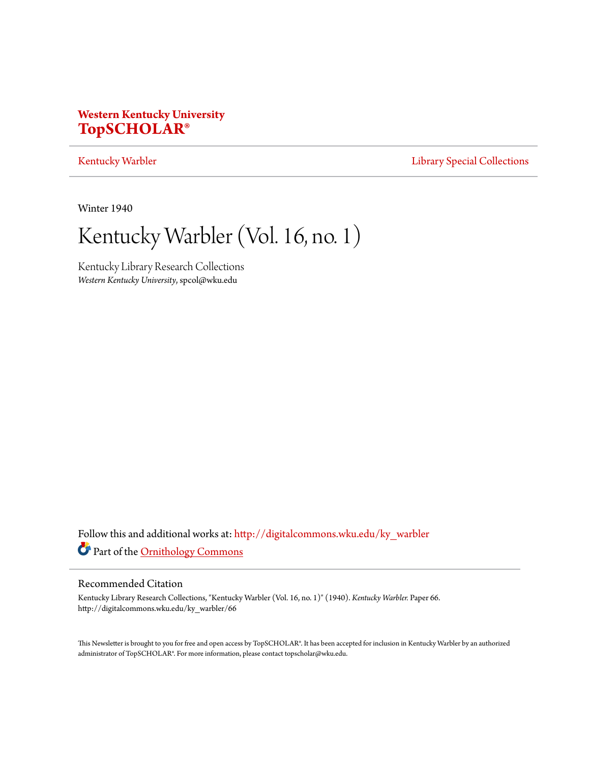# **Western Kentucky University [TopSCHOLAR®](http://digitalcommons.wku.edu?utm_source=digitalcommons.wku.edu%2Fky_warbler%2F66&utm_medium=PDF&utm_campaign=PDFCoverPages)**

## [Kentucky Warbler](http://digitalcommons.wku.edu/ky_warbler?utm_source=digitalcommons.wku.edu%2Fky_warbler%2F66&utm_medium=PDF&utm_campaign=PDFCoverPages) **[Library Special Collections](http://digitalcommons.wku.edu/dlsc?utm_source=digitalcommons.wku.edu%2Fky_warbler%2F66&utm_medium=PDF&utm_campaign=PDFCoverPages)**

Winter 1940

Kentucky Warbler (Vol. 16, no. 1)

Kentucky Library Research Collections *Western Kentucky University*, spcol@wku.edu

Follow this and additional works at: [http://digitalcommons.wku.edu/ky\\_warbler](http://digitalcommons.wku.edu/ky_warbler?utm_source=digitalcommons.wku.edu%2Fky_warbler%2F66&utm_medium=PDF&utm_campaign=PDFCoverPages) Part of the [Ornithology Commons](http://network.bepress.com/hgg/discipline/1190?utm_source=digitalcommons.wku.edu%2Fky_warbler%2F66&utm_medium=PDF&utm_campaign=PDFCoverPages)

## Recommended Citation

Kentucky Library Research Collections, "Kentucky Warbler (Vol. 16, no. 1)" (1940). *Kentucky Warbler.* Paper 66. http://digitalcommons.wku.edu/ky\_warbler/66

This Newsletter is brought to you for free and open access by TopSCHOLAR®. It has been accepted for inclusion in Kentucky Warbler by an authorized administrator of TopSCHOLAR®. For more information, please contact topscholar@wku.edu.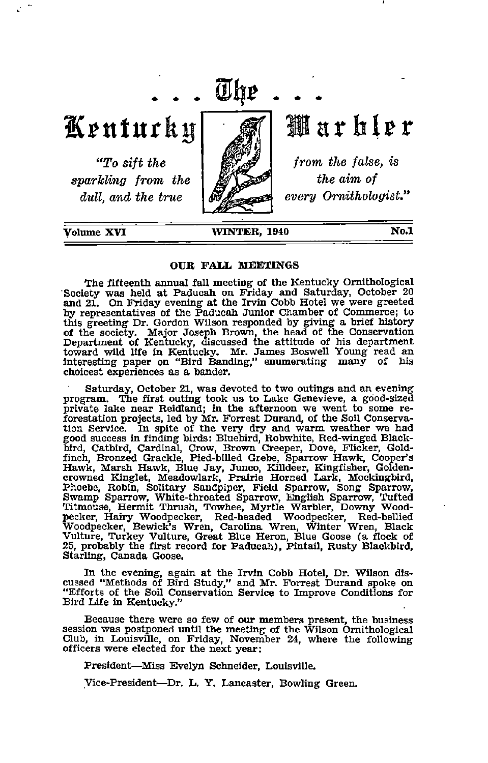

Kenturky

"To sift the sparkling from the dull, and the true



Warbler

from the false, is the aim of every Ornithologist.'

Volume XVI

#### WINTER, 1940 No.1

#### OUR FALL RIEEXINGS

The fifteenth annual fall meeting of the Kentucky Ornithological Society was held at Paducah on Friday and Saturday, October 20 and 21. On Friday evening at the Irvin Cobb Hotel we were greeted by representatives of the Paducah Junior Chamber of Commerce; to this greeting Dr. Gordon Wilson responded by giving a brief history of the society. Major Joseph Brown, the head of the Conservation<br>Department of Kentucky, discussed the attitude of his department<br>toward wild life in Kentucky. Mr. James Boswell Young read an<br>interesting paper on "Bird Ban choicest experiences as a bander.

Saturday, October 21, was devoted to two outings and an evening program. The first outing took us to Lake Genevieve, a good-sized private lake near Reidland; in the afternoon we went to some reprivate lake near Reidland; in the afternoon we went to some re forestation projects, led by Mr. Forrest Dursind, of the Soil Conserva tion Service. In spite of the very dry and warm weather we had good success in finding birds: Bluebird, Robwhite, Red-winged Black-bird, Catbird, Cardinal, Crow, Brown Creeper, Dove, Flicker, Gold-finch, Bronzed Grackle, P Hawk, Marsh Hawk, Blue Jay, Junco, Killdeer, Kingfisher, Goldencrowned Kinglet, Meadowlark, Prairie Horned Liark, Mockingbird, Phoebe, Robin, Solitary Sandpiper, Field Sparrow, Song Sparrow, Swamp Sparrow, White-throated Sparrow, English Sparrow, Tufted Titmouse, Hermit Thrush, Towhee, Myrtie Warbler, Downy Woodpecker, Hairy Woodpecker, Red-headed Woodpecker, Red-hellied Woodpecker, Bewick's Wren, Carolina Wren, Winter Wren, Black Vulture, Turkey Vulture, Three Woodpecker

In the evening, again at the Irvin Cobb Hotel, Dr. Wilson dis cussed "Methods of Bird Study," and Mr. Forrest Durand spoke on "Efforts of the Soil Conservation Service to Improve Conditions for Bird Life in Kentucky."

Because there were so few of our members present, the business session was postponed until the meeting of the Wilson Ornithological Club, in Louisville, on Friday, November 24, where the following officers were elected for the next year:

President—^Miss Evelyn Schneider, Louisville.

yice-President—Dr. L. Y. Lancaster, Bowling Green.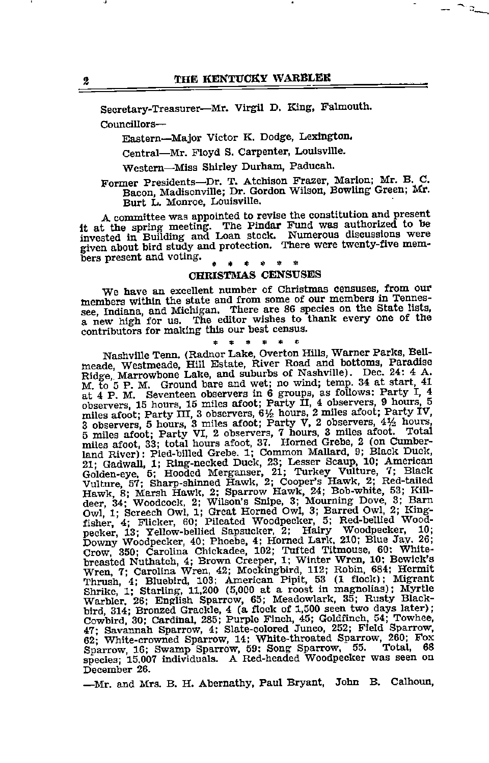$\mathbb{L}^{\infty}$ 

Secretary-Treasurer—^Mr. Virgil D. King, Falmouth. Councillors—

Eastern—Major Victor K. Dodge, Lexington.

Central—Mr. Floyd S. Carpenter, Louisville.

Western—Miss Shirley Durham, Paducah.

Former Presidents—Dr. T. Atchison Frazer, Marion; Mr. B. C. Bacon, Madisonville; Dr. GordonWilson, Bowling Green; Mr.

Burt L. Monroe, Louisville.<br>A committee was appointed to revise the constitution and present A committee was appointed to revise the constitution and present it at the spring meeting. The Pindar Fund was authorized to be invested in Building and Loan stock. Numerous discussions were given about bird study and protection. There were twenty-five mem bers present and voting.

## CHRISTMAS CENSUSES

We have an excellent number of Christmas censuses, from our members within the state and from some of our members in Tennes see, Indiana, and Michigan. There are 86 species on the State lists, a new high for us. The editor wishes to thank every one of the contributors for making this our best census. contributors for making this our best census.<br> $* * * * * *$ 

Nashville Tenn. (Radnor Lake, Overton Hills, Warner Parks, Bellmeade, Westmeade, Hill Estate, River Road and bottoms, Paradise, Marrowbone Lake, and suburbs of Nashville). Dec. 24: 4 A. M. to 5 P. M. Ground bare and wet; n miles afoot; Party III, 3 observers,  $6\frac{1}{2}$  hours, 2 miles afoot; Party IV, 3 observers, 5 hours, 3 miles afoot; Party VI, 2 observers, 7 hours, 3 miles afoot. Total 5 miles afoot. Total miles afoot, 33; total hours afoot, 37. Horned Grebe, 2 (on Cumber-<br>land River): Pied-billed Grebe. 1; Common Mallard, 9; Black Duck 21; Gadwall, 1; Ring-necked Duck, 23; Lesser Scaup, 10; American Golden-eye, 5; Hooded Merganser, 21; Turkey Vulture, 7; Slack<br>Wulture, 57; Sharp-shinned Hawk, 2; Cooper's Hawk, 2; Red-tailed<br>Wulture, 57; Sharp-shinned Haw Owl, 1; Screech Owl, 1; Great Horned Owl, 3; Barred Owl, 2; King<br>fisher, 4; Flicker, 60; Pileated Woodpecker, 5; Red-bellied Wood pecker, 13; Yellow-bellied Sapsucker, 2; Hairy Woodpecker, 10;<br>Downy Woodpecker, 40; Phoebe, 4; Horned Lark, 210; Blue Jay. 26;<br>Crow, 350; Carolina Chickadee, 102; Tufted Titmouse, 60: White-<br>breasted Nuthatch, 4; Brown Cr bird, 314; Bronzed Grackle, 4 (a flock of 1,500 seen two days later); Cowbird, 30; Cardinal, 285; Purplo Finch, 45; Goldfinch. 54; Towhee. 47- Savannah Sparrow, 4; Slate-colored Jimco, 252; Field Sparrow, 62; White-crowned Sparrow, 14; White-throated Sparrow, 260; Fox Sparrow, 16; Swamp Sparrow, 59: Song Sparrow, 55. Total, 68 ext, Southinan Sparrow, 14; White-throated Sparrow, 260; Fox<br>Sparrow, 16; Swamp Sparrow, 59; Song Sparrow, 55. Total, 68<br>species; 15.007 individuals. A Red-headed Woodpecker was seen on December 26.

—Mr. and Mrs. B. H. Abernathy, Paul Bryant, John B. Calhoun,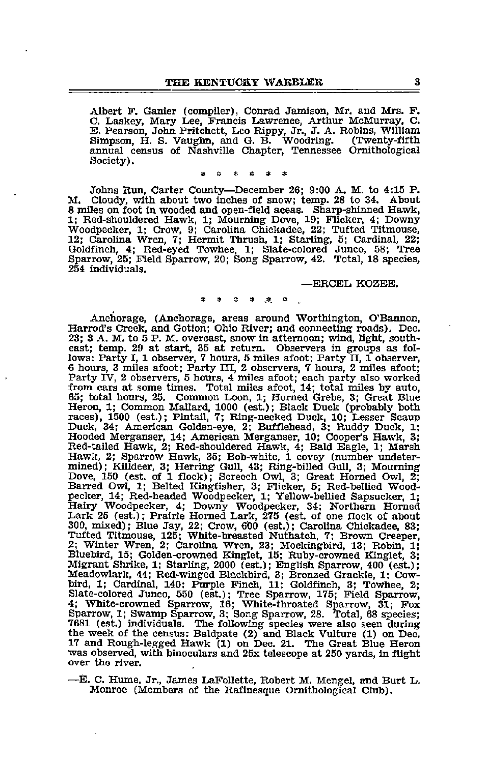Albert F. Ganier (compiler), Conrad Jamison, Mr. and Mrs. F.<br>C. Laskey, Mary Lee, Francis Lawrence, Arthur McMurray, C. B. Pearson, John Pritchett, Leo Rippy, Jr., J. A. Robins, William Simpson, H. S. Vaughn, and G. B. Woodring. (Twenty-fifth annual census of Nashville Chapter, Tennessee Ornithological Society).

9 o A-. e « »

Johns Rim, Carter County—^December 26; 9:00 A. M. to 4:15 P. M. Cloudy, with about two inches of snow; temp. 28 to 34. About 8 miles on foot in wooded and open-field aceas. Sharp-shinned Hawk, 1; Red-shouldered Hawk, 1; Mourning Dove, 19; Flicker, 4; Downy Woodpecker, 1; Crow, 9; Carolina Chickadee, 22; Tufted Titmouse, 12; Carolina Wren, 7; Hermit Thrush, 1; Starling, 5; Cardinal, 22; Goldfinch, 4; Red-eyed Towhee, 1; Slate-colored Junco, 58; Tree Sparrow, 25; Field Sparrow, 20; Song Sparrow, 42. Total, 18 species, 254 individuals.

—ERCEL KOZEE.

#### <sup>9</sup> » « « ,4 <sup>a</sup>

Anchorage, (Anchorage, areas around Worthington, O'Bannon, Harrod's Creek, and Gotion; Ohio River; and connecting roads). Dec. 23; 3 A. M. to 5 P. M. overcast, snow in afternoon; wind, light, south east; temp. 29 at start, 35 at return. Observers in groups as fol lows: Party I, 1 observer, 7 hours, 5 miles afoot; Party II, 1 observer, 6 hours, 3 miles afoot; Party III, 2 observers, 7 hours, 2 miles afoot; Party IV, 2 observers, 5 hours, 4 miles afoot; each party also worked from cars at some times. Total miles afoot, 14; total miles by auto, 65; total hours, 25. Common Loon, 1; Horned Grebe, 3; Great Blue Heron, 1; Common Mallard, 1000 (est.); Black Duck (probably both races), 1500 (est.); Pintail, 7; Ring-necked Duck, 10; Lesser Scaup Duck, 34; American Golden-eye, 2; Bufflehead, 3; Ruddy Duck, 1; Hooded Merganser, 14; American Merganser, 10; Cooper's Hawk, 3; Red-tailed Hawk, 2; Red-shouldered Hawk, 4; Bald Eagle, 1; Marsh Hawk, 2; Sparrow Hawk, 35; Bob-white, 1 covey (number undeter mined); Killdeer, 3; Herring Gull, 43; Ring-billed Gull, 3; Mourning Dove, 150 (est. of 1 flock); Screech Owl, 3; Great Horned Owl, 2; Barred Owl, 1; Belted Kingfisher, 3; Flicker, 5; Red-bellied Woodpecker, 14; Red-headed Woodpecker, 1; Yellow-bellied Sapsucker, 1; Hairy Woodpecker, 4; Downy Woodpecker, 34; Northern Homed Lark 25 (est.); Prairie Horned Lark, 275 (est. of one flock of about<br>300, mixed); Blue Jay, 22; Crow, 600 (est.); Carolina Chickadee, 83; Tufted Titmouse, 125; White-breasted Nuthatch, 7; Brovm Creeper, 2; Winter Wren, 2; Carolina Wren, 23; Mockingbird, 13; Robin, 1; Bluebird, 15; Golden-crowned Kinglet, 15; Ruby-crowned Kinglet, 3; Migrant Shrike, 1; Starling, 2000 (est.); English Sparrow, 400 (est.); Meadowlark, 44; Red-winged Blackbird, 3; Bronzed Grackle, 1; Cow-bird, 1; Cardinal, 140; Purple Pinch, 11; Goldfinch, 3; Towhee, 2; Slate-colored Jimco, 550 (est.); Tree Sparrow, 175; Field Sparrow, 4; White-crowned Sparrow, 16; White-throated Sparrow, 31; Fox Sparrow, 1; Swamp Sparrow, 3; Song Sparrow, 28. Total, 68 species; 7681 (est.) individuals. The following species were also seen during 7681 (est.) individuals. The following species were also seen during the week of the census: Baldpate (2) and Black Vulture (1) on Dec. 17 and Rough-legged Hawk (1) on Dec. 21. The Great Blue Heron was observed, with binoculars and 25x telescope at <sup>250</sup> yards, in flight over the river.

—E. C. Hume, Jr., James LaPollette, Robert M. Mengel, and Burt L. Monroe (Members of the Rafinesque Ornithological Club).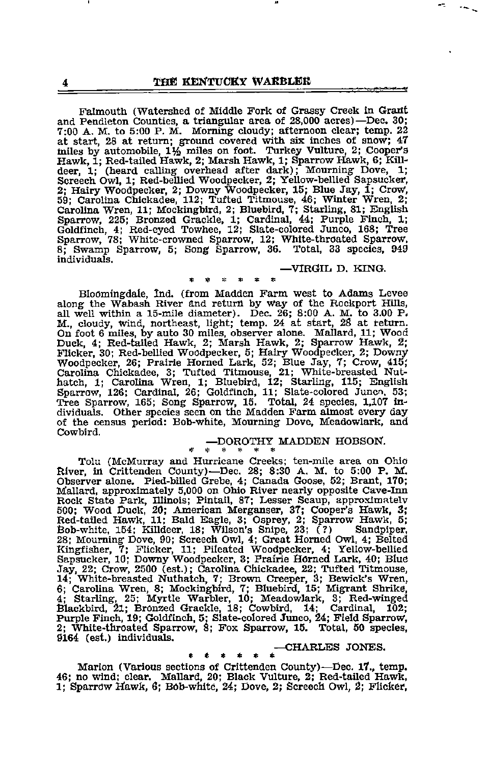Falmouth (Watershed of Middle Fork of Grassy Creek in Grant and Pendleton Counties, a triangular area of 28,000 acres)-Dec. 30; 7:00 A. M. to 5:00 P. M. Morning cloudy; afternoon clear; temp. 22 at start, 28 at return; ground covered with six inches of snow; 47 miles by automobile, 1% miles on foot. Turkey Vulture, 2; Cooper's Hawk, 1; Red-tailed Hawk, 2; Marsh Hawk, 1; Sparrow Hawk, 6; Killdeer, 1; (heard calling overhead after dark); Mourning Dove, 1; Screech Owl, 1; Red-bellied Woodpecker, 2; Yellow-bellied Sapsucker, 2; Hairy Woodpecker, 2; Downy Woodpecker, 15; Blue Jay, 1; Crow, 59; Carolina Chickadee, 112; Tufted Titmouse, 46; Winter Wren, 2; Brollina Wren, 2; Bron Sparrow, 78; White-crowned Sparrow, 12; White-throated Sparrow, 8; Swamp Sparrow, 5; Song Sparrow, 36. Total, <sup>33</sup> species, <sup>949</sup> individuals.

#### —ViRGlIi D. KING.

Bloomingdale, Ind. (from Madden Farm west to Adams Levee along the Wabash River and return by Way of the Rockport Hills, all well within a 15-mile diameter). Dec. 26; 8:00 A. M. to 3.00 P. M., cloudy, wind, northeast, light; temp. 24 at start, 26 at return. On foot 6 miles, by auto 30 miles, observer alone. Mallard, 11; Wood Duck, 4; Red-tailed Hawk, 2; Marsh Hawk, 2; Sparrow Hawk, 2; Flicker, 30; Red-bellied Woodpecker, 5; Hairy Woodpecker, 2; Downy Woodpecker, 26; Prairie Horned Lark, 52; Blue Jay, 7; Crow, 415; Carolina Chickadee, 3; Tufted Titmouse, 21; White-breasted Nut hatch, 1; Carolina Wren, 1; Bluebird, 12; Starling, 115; English Sparrow, 126; Cardinal, 26; Goldfinch, 11; Slate-colored Junco. 53; Tree Sparrow, 165; Song Sparrow, 15. Total, 24 species, 1,107 in dividuals. Other species seen on the Madden Farm almost every day of the census period: Bob-white, Mourning Dove, Meadowlark, and Cowbird.

#### $\begin{array}{cc} \text{-DOROTHY} \end{array}$  MADDEN HOBSON.  $*$

Tolu (McMurray and Hurricane Creeks; ten-mile area on Ohio River, in Crittenden County)-Dec. 28; 8:30 A. M. to 5:00 P. M. Observer alone. Pied-billed Grebe, 4; Canada Goose, 52; Brant, 170; Mallard, approximately 5,000 on Ohio River nearly opposite Cave-Inn Rock State Park, Illinois; Pintail, 87; Lesser Scaup, approximatelv 500; Wood Duck, 20; American Merganser, 37; Cooper's Hawk, 3; Red-tailed Hawk, 11; Bald Eagle, 3; Osprey, 2; Sparrow Hawk, 5; Bob-white, 154; Killdeer, 18; Wilson's Snipe, 23; (?) Sandpiper, 28; Mourning Dove, 90; Screech Owl, 4; Great Homed Owl, 4; Belted Kingfisher, 7; Flicker, 11; Pileated Woodpecker, 4; Yellow-bellied Sapsucker, 10; Downy Woodpecker, 3; Prairie Homed Lark, 40; Blue Jay, 22; Crow, 2500 (est.); Carolina Chickadee, 22; Tufted Titmouse, 14; White-breasted Nuthatch, 7; Brown Creeper, 3; Bewick's Wren, 6; Carolina Wren, 8; Mockingbird, 7; Bluebird, 15; Migrant Shrike, 4; Starling, 25; Myrtle Warbler, 10; Meadowlark, 3; Red-winged Blackbird, 21; Bronzed Grackle, 18; Cowbird, 14; Cardinal, 102<br>Purple Finch, 19; Goldfinch, <sup>9164</sup> (est.) individuals. —CHARLES JONES.

 $******--\text{CHARLES JONES.}$  Marion (Various sections of Crittenden County)—Dec. 17., temp. 46; no wind; clear. Mallard, 20; Black Vulture, 2; Red-tailed Hawk, 1; Sparrow Hawk, 6; Bob-white, 24; Dove, 2; Screech Owl, 2; Flicker,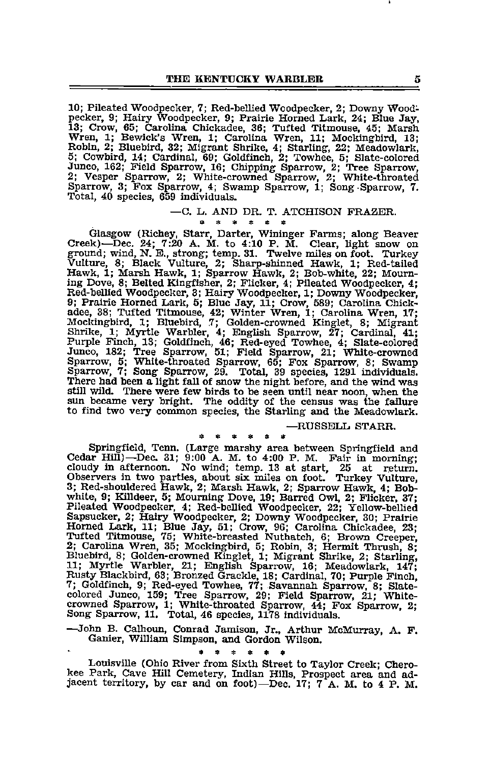10; Pileated Woodpecker, 7; Red-bellied Woodpecker, 2; Downy Wood pecker, 9; Hairy Woodpecker, 9; Prairie Horned Lark, 24; Blue Jay, 13; Crow, 65; Carolina Chickadee, 36; Tufted Titmouse, 45; Marsh Wren, 1; Bewick's Wren, 1; Carolina Wren, 11; Mocl^gbird, 13; Robin, 2; Bluebird, 32; Migrant Shrike, 4; Starling, 22; Meadowlark, 5; Cowbird, 14; Cardinal, 69; Goldfinch, 2; Towhee, 5; Slate-colored Junco, 162; Field Sparrow, 16; Chipping Sparrow, 2; Tree Sparrow, 2; Vesper Sparrow, 2; White-crowned Sparrow, 2; White-throated Sparrow, 3; Fox Sparrow, 4; Swamp Sparrow, 1; Song Sparrow, 7. Total, 40 species, 659 individuals.

# $-C.$  L. AND DR. T. ATCHISON FRAZER.

Glasgow (Richey, Starr, Darter, Wininger Farms; along Beaver Creek)—Dec. 24; 7:20 A. M. to 4:10 P. M. Clear, light snow on ground; wind, N. E., strong; temp. 31. Twelve miles on foot. Turkey Vulture, 8; Black Vulture, 2; Sharp-shinned Hawk, 1; Red-tailed Hawk, 1; Marsh Hawk, 1; Sparrow Hawk, 2; Bob-white, 22; Mourn ing Dove, 8; Belted Kingfisher, 2; Flicker, 4; Pileated Woodpecker, 4; Red-bellied Woodpecker, 3; Hairy Woodpecker, 1; Downy Woodpecker, 9; Prairie Horned Lark, 5; Blue Jay, 11; Crow, 589; Carolina Chick adee, 38; Tufted Titmouse, 42; Winter Wren, 1; Carolina Wren, 17; Mockingbird, 1; Bluebird, 7; Golden-crowned Kinglet, 8; Migrant Shrike, 1; Myrtle Warbler, 4; English Sparrow, 27; Cardinal, 41; Purple Finch, 13; Goldfinch, 46; Red-eyed Towhee, 4; Slate-colored Junco, 182; Tree Sparrow, 51; Field Sparrow, 21; White-crowned Sparrow, 5; White-throated Sparrow, 65; Fox Sparrow, 8; Swamp Sparrow, 7; Song Sparrow, 29. Total, 39 species, 1291 individuals. still wild. There were few birds to be seen until near noon, when the sun became very bright. The oddity of the census was the failure to find two very common species, the Starling and tie Meadowlark.

#### —RUSSELL STARR.

Example 1 and the Cedar Hill)—Dec. 31; 9:00 A. M. to 4:00 P. M. Fair in morning;<br>Cedar Hill)—Dec. 31; 9:00 A. M. to 4:00 P. M. Fair in morning;<br>Cloudy in afternoon. No wind; temp. 13 at start, 25 at return. Observers in two parties, about six miles on foot. Turkey Vulture, 3; Red-shouldered Hawk, 2; Marsh Hawk, 2; Sparrow Hawk, 4; Bobwhite, 9; Killdeer, 5; Mourning Dove, 19; Barred Owl, 2; Flicker, 37; Pileated Woodpecker, 4; Red-bellied Woodpecker, 22; Yellow-bellied Sapsucker, 2; Hairy Woodpecker, 2; Downy Woodpecker, 30; Prairie Horned Lark, 11; Blue Jay, 51; Crow, 96; Carolina Chickadee, 23;<br>Tufted Titmouse, 75; White-breasted Nuthatch, 6; Brown Creeper,<br>2; Carolina Wren, 35; Mockingbird, 5; Robin, 3; Hermit Thrush, 8; Bluebird, 8; Golden-crowned Kinglet, 1; Migrant Shrike, 2; Starling, 11; Mjo-tle Warbler, 21; English Sparrow, 16; Meadowlark, 147; Rusty Blackbird, 63; Bronzed Grackle, 18; Cardinal, 70; Purple Finch, 7; Goldfinch, 9; Red-eyed Towhee, 77; Savannah Sparrow, 8; Slate-colored Junco, 159; Tree Sparrow, 29; Field Sparrow, 21; White-crowned Sparrow, 1; White-throated Sparrow, 44; Fox Sparrow, 2; Song Sparrow, 11. Total, 46 sp

—John B. Calhoun, Conrad Jamison, Jr., Arthur McMurray, A. F. Ganier, William Simpson, and Gordon Wilson.

• 9 « s \* «

Louisville (Ohio River from Sixth Street to Taylor Creek; Chero kee Park, Cave Hill Cemetery, Indian Hills, Prospect area and ad jacent territory, by car and on foot)—Dec. 17; 7 A. M. to 4 P. M.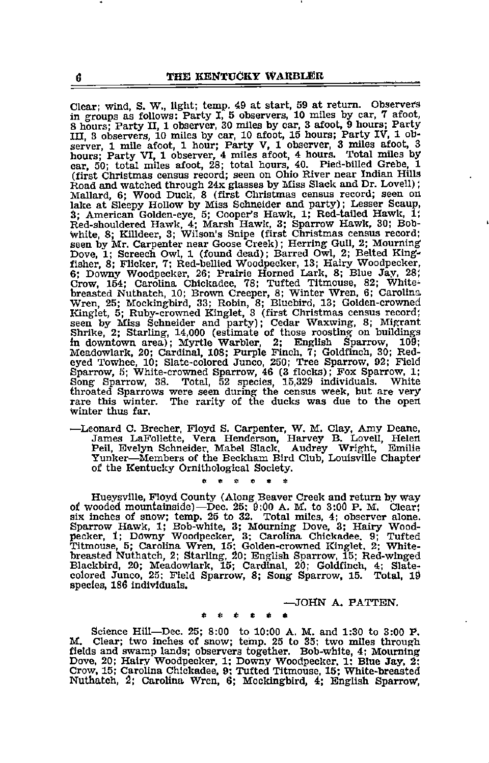Clear; wind, S. W., light; temp. 49 at start, 59 at return. Observers in groups as follows: Party I, 5 observers, 10 miles by car, 7 afoot, <sup>8</sup> hours; Party II, <sup>1</sup> observer, <sup>30</sup> miles by car, <sup>3</sup> afoot, <sup>9</sup> hours; Party III, 3 observers, 10 miles by car, 10 afoot, 15 hours; Party IV, 1 observer, 1 miles afoot, 1 hour; Party V, 1 observer, 3 miles afoot, 3 hours; Party VI, 1 observer, 4 miles afoot, 4 hours. Total miles by car, 50; total miles afoot, 28; total hours, 40. Pied-billed Grebe, 1 (first Christmas census record; seen on Ohio River near Indian Hills Road and watched through 24x glasses by Miss Slack and Dr. Lovell);<br>Mallard, 6; Wood Duck, 8 (first Christmas census record; seen on Mallard, 6; Wood Duck, 8 (first Christmas census record; seen on<br>lake at Sleepy Hollow by Miss Schneider and party); Lesser Scaup,<br>3; American Golden-eye, 5; Cooper's Hawk, 1; Red-tailed Hawk, 1;<br>Red-shouldered Hawk, 4; Ma Seen by Mr. Carpenter near Goose Creek); Herring Gull, 2; Mourning Dove, 1; Screech Owl, 1 (found dead); Barred Owl, 2; Belted King fisher, 8; Flicker, 7; Red-bellied Woodpecker, 13; Hairy Woodpecker, 6; Downy Woodpecker, 26; Prairie Horned Lark, 8; Blue Jay, 28; Crow, 154; Carolina Chickadee, 78; Tufted Titmouse, 82; Whitebreasted Nuthatch, 10; Brown Creeper, 8; Winter Wren, 6; Carolina Wren, 25; Mockingbird, 33; Robin, 8; Bluebird, 13; Golden-crowned Kinglet, 5; Ruby-crowned Kinglet, 3 (first Christmas census record; seen by Miss Schneider and party); Cedar Waxwing, 8; Migrant Shrike, 2; Starling, 14,000 (estimate of those roosting on buildings in downtown area); Myrtl Song Sparrow, 38. Total, 52 species, 15,329 individuals. White throated Sparrows were seen during the census week, but are very rare this winter. The rarity of the ducks was due to the open Winter thus far.

—Leonard C. Brecher, Floyd S. Carpenter, W. M. Clay, Amy Deane, James LaFollette, Vera Henderson, Harvey B. Lovell, Helen Peil, Evelyn Schneider, Mabel Slack. Audrey Wright, Emilia Yunker—Members of the Beckham Bird Club, Louisville Chapter of the Kentucky Ornithological Society.<br>\* \* \* \* \* \*

Hueysville, Floyd County (Along Beaver Creek and return by way of wooded mountainside)—Dec. 25: 9:00 A. M. to 3:00 P. M. Clear;<br>six inches of snow; temp. 25 to 32. Total miles, 4; observer alone.<br>Sparrow Hawk, 1; Bob-white, 3; Mourning Dove, 3; Hairy Wood-<br>pecker, 1; Downy Woodpecker, breasted Nuthatch, 2; Starling, 20; English Sparrow, 15; Red-winged Blackbird, 20; Meadowlark, 15; Cardinal, 20; Goldfinch, 4; Slate-colored Junco, 25; Field Sparrow, 8; Song Sparrow, 15. Total, l9 species, 186 individuals.

—JOHN A. PATTEN.

#### \* « « c «i •

Science Hill—Dec. 25; 8:00 to 10:00 A. M. and 1:30 to 3:00 P.<br>M. Clear; two inches of snow; temp. 25 to 35; two miles through fields and swamp lands; observers together. Bob-white, 4; Mourning Dove, 20; Hairy Woodpecker, 1; Downy Woodpecker. 1: Blue Jay, 2: Crow, 15; Carolina Chickadee, 9: Tufted Titmouse, 15; White-breasted Nuthatch, 2; Carolina Wren, 6; Mockingbird, 4; English Sparrow,

G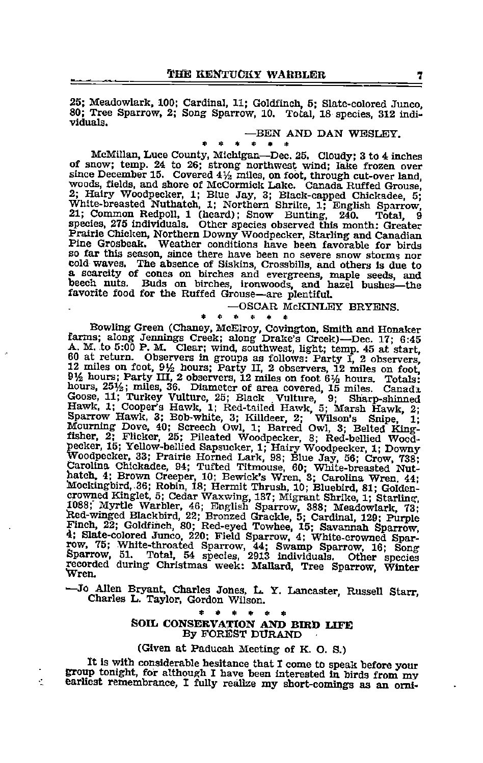25; Meadowlark, 100; Cardinal, 11; Goldfinch, 5; Slate-colored Junco 80; Tree Sparrow, 2; Song Sparrow, 10. Total, <sup>18</sup> species, <sup>312</sup> indi viduals.

# —BEN AND DAN WESLEY. »«««•\*

McMillan, Luce County, Michigan—Dec. 25. Cloudy; 3 to 4 inches of snow: temp. 24 to 26: strong northwest wind: lake frozen over of snow; temp. 24 to 26; strong northwest wind; lake frozen over since December 15. Covered  $4\frac{1}{2}$  miles, on foot, through cut-over land, woods, fields, and shore of McCormick Lake. Canada Ruffed Grouse, 2; Hairy Woodpecker, 1; Blue Jay, 3; Black-capped Chickadee, 5; White-breasted Nuthatch, 1; Northern Shrike, 1; English Sparrow, 21; Common Redpoll, 1 (heard); Snow Bunting, 240. Total, 9 species, 275 individuals. Other species observed this month: Greater Prairie Chicken, Northern Downy Woodpecker, Starling and Canadian<br>Pine Grosbeak. Weather conditions have been favorable for birds Pine Grosbeak. Weather conditions have been favorable for birds<br>so far this season, since there have been no severe snow storms nor<br>cold waves. The absence of Siskins, Crossbills, and others is due to<br>a scarcity of cones o beech nuts. Buds on birches, ironwoods, and hazel bushes—the favorite food for the Ruffed Grouse—are plentiful.

 $-$  OSCAR McKINLEY BRYENS.

 $\mathbf{r}$ 

Bowling Green (Chaney, McElroy, Covington, Smith and Honaker farms; along Jennings Creek; along Drake's Creek)-Dec. 17; 6:45 farms; along Jennings Creek; along Drake's Creek)—Dec. 17; 6:45 A. M. to 5:00 P. M. Clear; wind, southwest, light; temp. 45 at start, 60 at return. Observers in groups as follows: Party I, 2 observers, 12 miles on foot, 91/2 hours; Party II, 2 observers, 12 miles on foot, 91/2 hours; Party II, 2 observers, 12 miles on foot, 91/2 hours; Party III, 2 obse Goose, 11; Turkey Vulture, 25; Black Vulture, 9; Sharp-shinned Hawk, 1; Cooper's Hawk, 1; Red-tailed Hawk, 5; Marsh Hawk 2- Sparrow Hawk, 3; Bob-white, 3; Killdeer, 2; Wilson's Snipe, 1; Mourning Dove, 40; Screech Owl, 1; Barred Owl, 3; Belted King-<br>Mourning Dove, 40; Screech Owl, 1; Barred Owl, 3; Belted King-<br>fisher, 2; Flicker, 25; Pileated pecker, 15; Yellow-bellied Sapsucker, 1; Hairy Woodpecker, 1; Downy Woodpecker, 33; Prairie Horned Lark, 98; Blue Jay, 56; Crow, 738; Carolina Chickadee, 94; Tufted Titmouse, 60; White-breasted Nut-hatch, 4; Brown Creeper, Mockingbird, 36; Robin, 18; Hermit Thrush, 10; Bluebird, 81; Golden-<br>crowned Kinglet, 5; Cedar Waxwing, 137; Migrant Shrike, 1; Starling,<br>1088; Myrtle Warbler, 46; English Sparrow, 388; Meadowlark, 73;<br>Red-winged Blackbird 4; Slate-colored Juliot, 220, Pield Sparrow, 4, Willie-Colored Companion, 2007, 75; White-throated Sparrow, 44; Swamp Sparrow, 16; Song Sparrow, 51. Total, 54 species, 2913 individuals. Other species recorded during Christ

- Jo Allen Bryant, Charles Jones, L. Y. Lancaster, Russell Starr. Charles L. Taylor, Gordon Wilson.

### SOIL CONSERVATION AND BIRD LIFE By FOREST DURAND

#### (Given at Paducah Meeting of K. O. S.)

It is with considerable hesitance that I come to speak before your group tonight, for although I have been interested in birds from my earliest remembrance, I fully realize my short-comings as an orni-

K.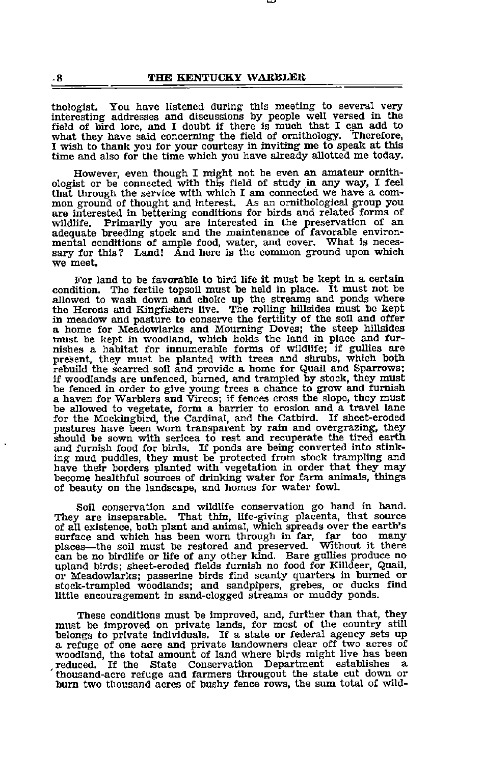thologist. You have listened during this meeting to several very interesting addresses and discussions by people well versed in the field of bird lore, and I doubt if there is much that I cm add to what they have said concerning the field of ornithology. Therefore, I wish to thank you for your courtesy in inviting me to speak at this time and also for the time which you have already allotted me today.

However, even though I might not be even an amateur ornith ologist or be connected with this field of study in any way, I feel that through the service with which <sup>I</sup> am connected we have <sup>a</sup> com mon ground of thought and interest. As an ornithological group you are interested in bettering conditions for birds and related forms of wildlife. Primarily you are interested in the preservation of an Primarily you are interested in the preservation of an adequate breeding stock and the maintenance of favorable environmental conditions of ample food, water, and cover. What is necessary for this? Land! And here is the common ground upon which we meet.

For land to be favorable to bird life it must be kept in <sup>a</sup> certain condition. The fertile topsoil must be held in place. It must not be allowed to wash down and choke up the streams and ponds where the Herons and Kingfishers live. The rolling hillsides must be kept in meadow and pasture to conserve the fertility of the soil and offer <sup>a</sup> home for Meadowlarks and Mourning Doves; the steep hillsides must be kept in woodland, which holds the land in place and fur nishes a habitat for innumerable forms of wildlife; if gullies are present, they must be planted with trees and shrubs, which both rebuild the scarred soil and provide a home for Quail and Sparrows; if woodlands are unfenced, burned, and trampled by stock, they must be fenced in order to give young trees <sup>a</sup> chaiice to grow and furnish <sup>a</sup> haven for Warblers and Vireos; if fences cross the slope, they must be allowed to vegetate, form a barrier to erosion and a travel lane for the Mockingbird, the Cardinal, and the Catbird. If sheet-eroded pastures have been worn transparent by rain and overgrazing, they should be sown with sericea to rest and recuperate the tired earth and furnish food for birds. If ponds are being converted into stinking mud puddles, they must be protected from stock trampling and have their borders plan become healthful sources of drinking water for farm animals, things of beauty on the landscape, and homes for water fowl.

Soil conservation and wildlife conservation go hand in hand. They are inseparable. That thin, life-giving placenta, that source of all existence, both plant and animal, which spreads over the earth's surface and which has been worn through in far, far too many places—the soil must be restored and preserved. Without it there plance in the solid must be restored and produce it the solid must be restored as a upland birds; sheet-eroded fields furnish no food for Killdeer, Quail, upland birds; sheet-eroded fields furnish no food for Killdeer, Quail, or Meadowlarks; passerine birds find scanty quarters in burned or stock-trampled woodlands; and sandpipers, grebes, or ducks find little encouragement in sand-clogged streams or muddy ponds.

These conditions must be improved, and, further than that, they must be improved on private lands, for most of the country still belongs to private individuals. If a state or federal agency sets up a refuge of one acre and private landowners clear off two acres of woodland, the total amount of land where birds might live has been<br>reduced. If the State Conservation Department establishes a reduced. If the State Conservation Department establishes a thousand-acre refuge and farmers througout the state cut down or burn two thousand acres of bushy fence rows, the sum total of wild-

 $\overline{\mathbf{R}}$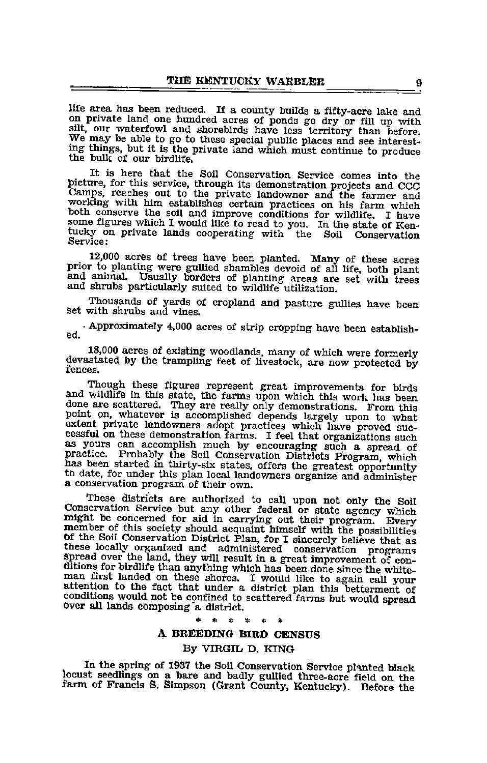life area has been reduced. If a county builds a fifty-acre lake and on private land one hundred acres of ponds go dry or fill up with silt, our waterfowl and shorebirds have less territory than before. We may be able to go to these special public places and see interesting things, but it is the private land which must continue to produce the bulk of our birdlife.

It is here that the Soil Conservation Service comes into the picture, for this service, through its demonstration projects and CCC Camps, reaches out to the private landowner and the farmer and working with him establishes certain practices on his farm which some figures which I would like to read to you. In the state of Kentucky on private lands cooperating with the Soil Conservation Service:

12,000 acres of trees have been planted. Many of these acres prior to planting were gullied shambles devoid of all life, both plant and animal. Usually borders of planting areas are set with trees and shrubs particularly suited to wildlife utilization.

Thousands of yards of cropland and pasture gullies have been Set with shrubs and vines.

•Approximately 4,000 acres of strip cropping have been establish ed.

18,000 acres of existing woodlands, many of which were formerly devastated by the trampling feet of livestock, are now protected by

Though these figures represent great improvements for birds and wildlife in this state, the farms upon which this work has been done are scattered. They are really only demonstrations. From this point on, whatever is accomplished depends largely upon to what extent private landowners adopt practices which have proved successful on these demonstration farms. I feel that organizations such as yours can accomplish much by encouraging such a spread of practice. Probably the Soil Conservation Districts Program which has been started in thirty-six states, offers the greatest opportunity to date, for under this plan local landowners organize and administer <sup>a</sup> conservation program of their own.

These districts are authorized to call upon not only the Soil Conservation Service but any other federal or state agency which might be concerned for aid in carrying out their program. Every member of this society should a the soil Conservation District Plan, for I sincerely believe that as<br>these locally organized and administered conservation programs<br>spread over the land, they will result in a great improvement of conditions for birdlife than anything which has been done since the whiteman first landed on these shores. I would like to again call your attention to the fact that under <sup>a</sup> district plan this betterment of conditions would not be confined to scattered farms but would spread over all lands composing a district.

#### A BREEDING BIRD CENSUS

#### By VIRGIL D. KING

In the spring of 1937 the Soil Conservation Service planted black locust seedlings on a bare and badly gullied three-acre field on the farm of Francis S. Simpson (Grant County, Kentucky). Before the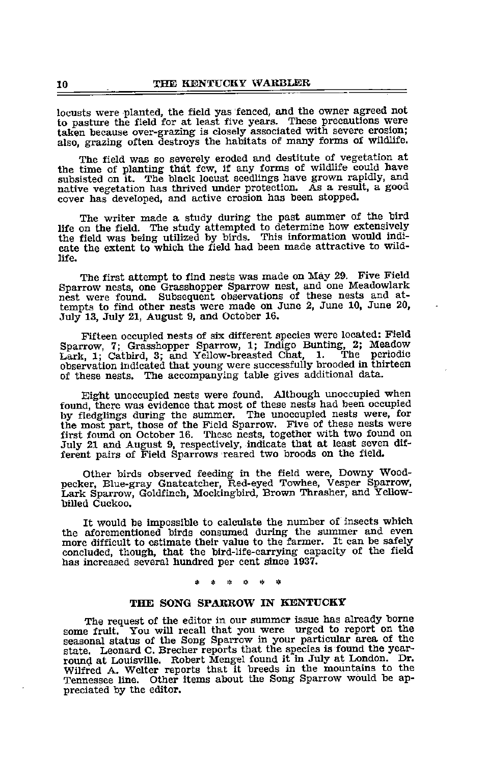locusts were planted, the field yas fenced, and the owner agreed not to pasture the field for at least five years. These precautions were taken because over-grazing is closely associated with severe erosion; also, grazing often destroys the habitats of many forms of wildlife.

The field was so severely eroded and destitute of vegetation at the time of planting that few, if any forms of wildlife could have subsisted on it. The black locust seedlings have grown rapidly, and native vegetation has thrived imder protection. As a result, a good cover has developed, and active erosion has been stopped.

The writer made a study during the past summer of the bird life on the field. The study attempted to determine how extensively the field was being utilized by birds. This information would indi cate the extent to which the field had been made attractive to wild-life.

The first attempt to find nests was made on May 29. Five Field Sparrow nests, one Grasshopper Sparrow nest, and one Meadowlark nest were found. Subsequent observations of these nests and at tempts to find other nests were made on June 2, June 10, June 20, July 13, July 21, August 9, and October 16.

Fifteen occupied nests of six different species were located: Field Sparrow, 7; Grasshopper Sparrow, 1; Indigo Bunting, 2; Meadow Lark, 1; Catbird, 3; and Yellow-breasted Chat, 1. The periodic observation indicated that young were successfully brooded in thirteen of these nests. The accompanying table gives additional data.

Eight unoccupied nests were found. Although unoccupied when found, there was evidence that most of these nests had been occupied by fledglings during the summer. The unoccupied nests were, for the most part, those of the Field Sparrow. Five of these nests were first found on October 16. These nests, together with two found on July <sup>21</sup> and August 9, respectively, indicate that at least seven dif ferent pairs of Field Sparrows reared two broods on the field.

Other birds observed feeding in the field were, Downy Wood pecker, Blue-gray Gnatcatcher, Red-eyed Towhee, Vesper Sparrow, Lark Sparrow, Goldfinch, Mockingbird, Brown Thrasher, and Yellow-<br>billed Cuckoo.

It would be impossible to calculate the number of insects which the aforementioned birds consumed during the summer and even more difficult to estimate their value to the farmer. It can be safely concluded, though, that the bird-life-carrying capacity of the field has increased several hundred per cent since 1937.

> $2.5$  $\mathbf{r}_\mathrm{R}$

#### THE SONG SPARROW IN KENTUCKY

The request of the editor in our summer issue has already borne<br>some fruit. You will recall that you were urged to report on the<br>seasonal status of the Song Sparrow in your particular area of the state. Leonard C. Brecher reports that the species is found the yearround at Louisville. Robert Mengel found it in July at London. Dr. Wilfred A. Welter reports that it breeds in the mountains to the Tennessee line. Other items about the Song Sparrow would be ap preciated by the editor.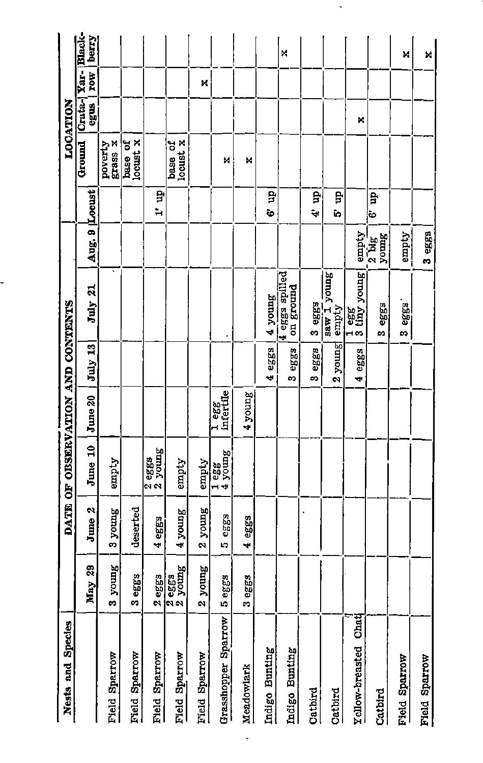| Nests and Species       |                               |                       | DATE OF OBSERVATION AND CONTENTS |                    |               |                                            |                          |         |                       | LOCATION       |             |                 |
|-------------------------|-------------------------------|-----------------------|----------------------------------|--------------------|---------------|--------------------------------------------|--------------------------|---------|-----------------------|----------------|-------------|-----------------|
|                         | 29<br>May                     | June 2                | $J$ une $10$                     | June 20            | $July$ 13     | July 21                                    | Aug. 9 Locust            |         | Ground                | Crata-<br>egus | FOW<br>Yar- | Black-<br>berry |
| Field Sparrow           | <b>Remok</b><br><sub>co</sub> | 3 young               | empty                            |                    |               | $\cdot$                                    |                          |         | grass x<br>poverty    |                |             |                 |
| Field Sparrow           | m<br>3egg                     | deserted              |                                  |                    |               |                                            |                          |         | locust x<br>base of   |                |             |                 |
| Field Sparrow           | 2eggg                         | 4 eggs                | 2 eggs<br>2 young                |                    |               |                                            |                          | $1'$ up |                       |                |             |                 |
| Field Sparrow           | 2 eggs<br>2 young             | 4 young               | empty                            |                    |               |                                            |                          |         | locust x<br>đ<br>base |                |             |                 |
| Field Sparrow           | young<br>$\mathbf{\hat{z}}$   | young<br>$\mathbf{a}$ | empty                            |                    |               |                                            |                          |         |                       |                | ×           |                 |
| Grasshopper Sparrow     | 5 eggs                        | eggg<br>LQ.           | $\frac{1}{4}$ egg<br>4 young     | 1 egg<br>infertile |               |                                            |                          |         | M                     |                |             |                 |
| Meadowlark              | 3 eggs                        | 4 eggs                |                                  | 4 young            |               |                                            |                          |         | ×                     |                |             |                 |
| Indigo Bunting          |                               |                       |                                  |                    | 4 eggs        | 4 young                                    |                          | ę<br>ò  |                       |                |             |                 |
| Indigo Bunting          |                               |                       |                                  |                    | $e$ ggg<br>e, | 4 eggs spilled<br>on ground                |                          |         |                       |                |             | к               |
| Cathird                 |                               |                       |                                  |                    | erg<br>e9     | 3 eggs                                     |                          | ę<br>÷  |                       |                |             |                 |
| Catbird                 |                               |                       |                                  |                    | $2$ young     | saw 1 young<br>empty                       |                          | ę<br>î. |                       |                |             |                 |
| Chat<br>Yellow-breasted |                               |                       |                                  |                    | 4 eggs        | $\frac{1}{3}$ egg $\frac{1}{3}$ tiny young | fidura                   |         |                       | ×              |             |                 |
| Catbird                 |                               |                       |                                  |                    |               | eggs<br>os                                 | young<br>$2\overline{u}$ | Ê<br>ò  |                       |                |             |                 |
| Field Sparrow           |                               |                       |                                  |                    |               | 3 eggs                                     | empty                    |         |                       |                |             | И               |
| Field Sparrow           |                               |                       |                                  |                    |               |                                            | 3 eggs                   |         |                       |                |             | ×               |

 $\hat{\mathbf{r}}$